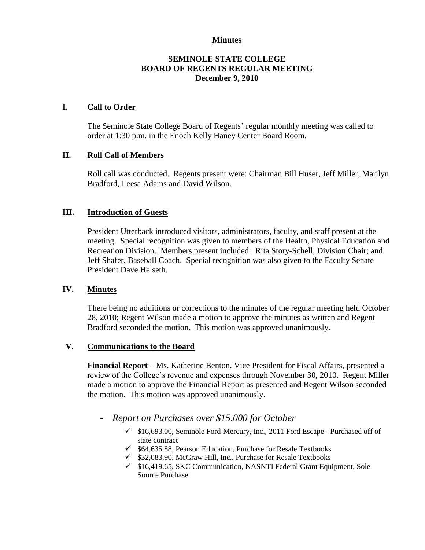#### **Minutes**

### **SEMINOLE STATE COLLEGE BOARD OF REGENTS REGULAR MEETING December 9, 2010**

#### **I. Call to Order**

The Seminole State College Board of Regents' regular monthly meeting was called to order at 1:30 p.m. in the Enoch Kelly Haney Center Board Room.

### **II. Roll Call of Members**

Roll call was conducted. Regents present were: Chairman Bill Huser, Jeff Miller, Marilyn Bradford, Leesa Adams and David Wilson.

### **III. Introduction of Guests**

President Utterback introduced visitors, administrators, faculty, and staff present at the meeting. Special recognition was given to members of the Health, Physical Education and Recreation Division. Members present included: Rita Story-Schell, Division Chair; and Jeff Shafer, Baseball Coach. Special recognition was also given to the Faculty Senate President Dave Helseth.

#### **IV. Minutes**

There being no additions or corrections to the minutes of the regular meeting held October 28, 2010; Regent Wilson made a motion to approve the minutes as written and Regent Bradford seconded the motion. This motion was approved unanimously.

#### **V. Communications to the Board**

**Financial Report** – Ms. Katherine Benton, Vice President for Fiscal Affairs, presented a review of the College's revenue and expenses through November 30, 2010. Regent Miller made a motion to approve the Financial Report as presented and Regent Wilson seconded the motion. This motion was approved unanimously.

- *Report on Purchases over \$15,000 for October* 
	- $\checkmark$  \$16,693.00, Seminole Ford-Mercury, Inc., 2011 Ford Escape Purchased off of state contract
	- $\checkmark$  \$64,635.88, Pearson Education, Purchase for Resale Textbooks
	- $\checkmark$  \$32,083.90, McGraw Hill, Inc., Purchase for Resale Textbooks
	- \$16,419.65, SKC Communication, NASNTI Federal Grant Equipment, Sole Source Purchase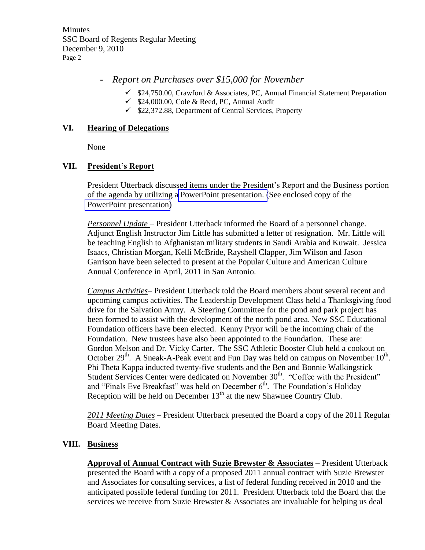**Minutes** SSC Board of Regents Regular Meeting December 9, 2010 Page 2

# - *Report on Purchases over \$15,000 for November*

- $\checkmark$  \$24,750.00, Crawford & Associates, PC, Annual Financial Statement Preparation
- $\checkmark$  \$24,000.00, Cole & Reed, PC, Annual Audit
- $\checkmark$  \$22,372.88, Department of Central Services, Property

# **VI. Hearing of Delegations**

None

# **VII. President's Report**

President Utterback discussed items under the President's Report and the Business portion of the agenda by utilizing a PowerPoint presentation. (See enclosed copy of the PowerPoint presentation)

*Personnel Update* – President Utterback informed the Board of a personnel change. Adjunct English Instructor Jim Little has submitted a letter of resignation. Mr. Little will be teaching English to Afghanistan military students in Saudi Arabia and Kuwait. Jessica Isaacs, Christian Morgan, Kelli McBride, Rayshell Clapper, Jim Wilson and Jason Garrison have been selected to present at the Popular Culture and American Culture Annual Conference in April, 2011 in San Antonio.

*Campus Activities*– President Utterback told the Board members about several recent and upcoming campus activities. The Leadership Development Class held a Thanksgiving food drive for the Salvation Army. A Steering Committee for the pond and park project has been formed to assist with the development of the north pond area. New SSC Educational Foundation officers have been elected. Kenny Pryor will be the incoming chair of the Foundation. New trustees have also been appointed to the Foundation. These are: Gordon Melson and Dr. Vicky Carter. The SSC Athletic Booster Club held a cookout on October  $29<sup>th</sup>$ . A Sneak-A-Peak event and Fun Day was held on campus on November  $10<sup>th</sup>$ . Phi Theta Kappa inducted twenty-five students and the Ben and Bonnie Walkingstick Student Services Center were dedicated on November 30<sup>th</sup>. "Coffee with the President" and "Finals Eve Breakfast" was held on December 6th. The Foundation's Holiday Reception will be held on December  $13<sup>th</sup>$  at the new Shawnee Country Club.

*2011 Meeting Dates –* President Utterback presented the Board a copy of the 2011 Regular Board Meeting Dates.

# **VIII. Business**

**Approval of Annual Contract with Suzie Brewster & Associates** – President Utterback presented the Board with a copy of a proposed 2011 annual contract with Suzie Brewster and Associates for consulting services, a list of federal funding received in 2010 and the anticipated possible federal funding for 2011. President Utterback told the Board that the services we receive from Suzie Brewster & Associates are invaluable for helping us deal